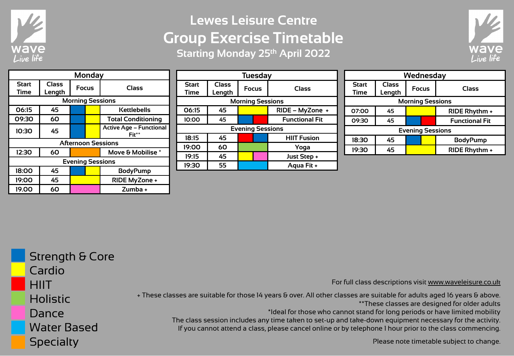

## **Lewes Leisure Centre Group Exercise Timetable Starting Monday 25th April 2022**



| <b>Monday</b>             |                        |              |  |                                         |  |
|---------------------------|------------------------|--------------|--|-----------------------------------------|--|
| <b>Start</b><br>Time      | <b>Class</b><br>Length | <b>Focus</b> |  | Class                                   |  |
|                           |                        |              |  | <b>Morning Sessions</b>                 |  |
| 06:15                     | 45                     |              |  | Kettlebells                             |  |
| 09:30                     | 60                     |              |  | <b>Total Conditioning</b>               |  |
| 10:30                     | 45                     |              |  | <b>Active Age - Functional</b><br>Fit** |  |
| <b>Afternoon Sessions</b> |                        |              |  |                                         |  |
| 12:30                     | 60                     |              |  | Move & Mobilise *                       |  |
| <b>Evening Sessions</b>   |                        |              |  |                                         |  |
| 18:00                     | 45                     |              |  | <b>BodyPump</b>                         |  |
| 19:00                     | 45                     |              |  | RIDE MyZone +                           |  |
| 19.00                     | 60                     |              |  | Zumba +                                 |  |

| <b>Tuesday</b>          |              |              |  |                       |  |
|-------------------------|--------------|--------------|--|-----------------------|--|
| <b>Start</b>            | <b>Class</b> | <b>Focus</b> |  | Class                 |  |
| Time                    | Length       |              |  |                       |  |
| <b>Morning Sessions</b> |              |              |  |                       |  |
| 06:15                   | 45           |              |  | RIDE - MyZone +       |  |
| 10:00                   | 45           |              |  | <b>Functional Fit</b> |  |
| <b>Evening Sessions</b> |              |              |  |                       |  |
| 18:15                   | 45           |              |  | <b>HIIT Fusion</b>    |  |
| 19:00                   | 60           |              |  | Yoga                  |  |
| 19:15                   | 45           |              |  | Just Step +           |  |
| 19:30                   | 55           |              |  | Aqua Fit +            |  |

| Wednesday                   |                        |              |                       |  |  |
|-----------------------------|------------------------|--------------|-----------------------|--|--|
| <b>Start</b><br><b>Time</b> | <b>Class</b><br>Length | <b>Focus</b> | Class                 |  |  |
| <b>Morning Sessions</b>     |                        |              |                       |  |  |
| 07:00                       | 45                     |              | RIDE Rhythm +         |  |  |
| 09:30                       | 45                     |              | <b>Functional Fit</b> |  |  |
| <b>Evening Sessions</b>     |                        |              |                       |  |  |
| 18:30                       | 45                     |              | <b>BodyPump</b>       |  |  |
| 19:30                       | 45                     |              | RIDE Rhythm +         |  |  |

| <b>Strength &amp; Core</b> |                                                                                                                                                                                                                     |
|----------------------------|---------------------------------------------------------------------------------------------------------------------------------------------------------------------------------------------------------------------|
| Cardio                     |                                                                                                                                                                                                                     |
| <b>HIIT</b>                | For full class descriptions visit www.waveleisure.co.uk                                                                                                                                                             |
| <b>Holistic</b>            | + These classes are suitable for those 14 years & over. All other classes are suitable for adults aged 16 years & above.<br>** These classes are designed for older adults                                          |
| Dance                      | *Ideal for those who cannot stand for long periods or have limited mobility                                                                                                                                         |
| <b>Water Based</b>         | The class session includes any time taken to set-up and take-down equipment necessary for the activity.<br>If you cannot attend a class, please cancel online or by telephone I hour prior to the class commencing. |
| <b>Specialty</b>           | Please note timetable subject to change.                                                                                                                                                                            |